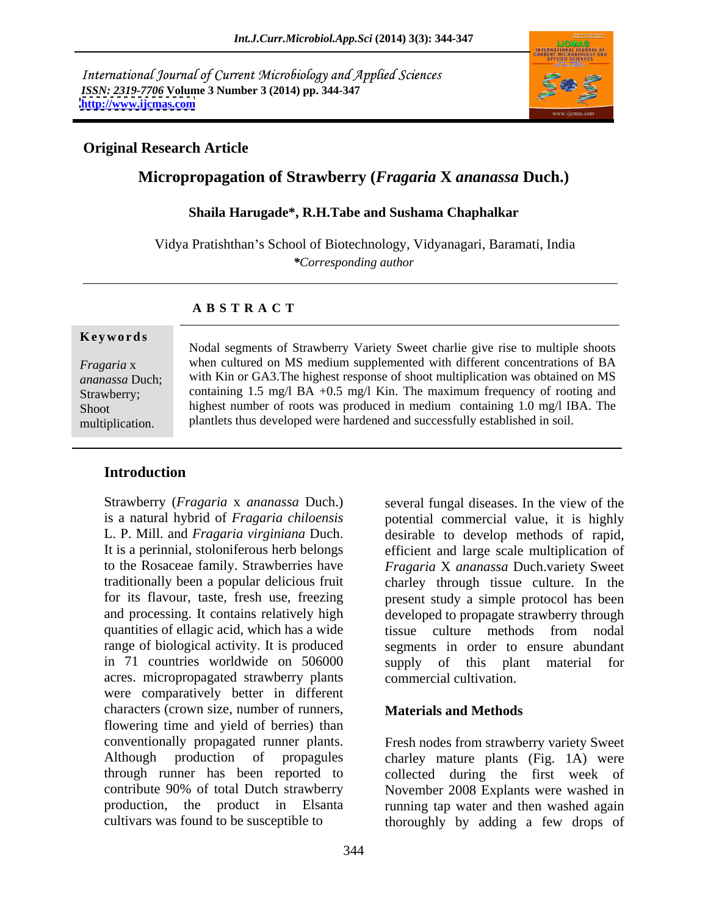International Journal of Current Microbiology and Applied Sciences *ISSN: 2319-7706* **Volume 3 Number 3 (2014) pp. 344-347 <http://www.ijcmas.com>**



## **Original Research Article**

# **Micropropagation of Strawberry (***Fragaria* **X** *ananassa* **Duch.)**

### **Shaila Harugade\*, R.H.Tabe and Sushama Chaphalkar**

Vidya Pratishthan's School of Biotechnology, Vidyanagari, Baramati, India *\*Corresponding author*

### **A B S T R A C T**

**Ke ywo rds** *Fragaria* x when cultured on MS medium supplemented with different concentrations of BA *ananassa* Duch; with Kin or GA3.The highest response of shoot multiplication was obtained on MS Strawberry; containing 1.5 mg/l BA +0.5 mg/l Kin. The maximum frequency of rooting and Shoot highest number of roots was produced in medium containing 1.0 mg/l IBA. The Modal segments of Strawberry Variety Sweet charlie give rise to multiple shoots<br>
Fragaria x<br>
with Kin or GA3.The highest response of shoot multiplication was obtained on MS<br>
Strawberry;<br>
containing 1.5 mg/l BA +0.5 mg/l Ki plantlets thus developed were hardened and successfully established in soil.

## **Introduction**

Strawberry (*Fragaria* x *ananassa* Duch.) quantities of ellagic acid, which has a wide tissue culture methods from nodal range of biological activity. It is produced in 71 countries worldwide on 506000 supply of this plant material for acres. micropropagated strawberry plants were comparatively better in different characters (crown size, number of runners, flowering time and yield of berries) than conventionally propagated runner plants. Fresh nodes from strawberry variety Sweet Although production of propagules charley mature plants (Fig. 1A) were through runner has been reported to collected during the first week of contribute 90% of total Dutch strawberry November 2008 Explants were washed in production, the product in Elsanta running tap water and then washed again

is a natural hybrid of *Fragaria chiloensis* potential commercial value, it is highly L. P. Mill. and *Fragaria virginiana* Duch. desirable to develop methods of rapid, It is a perinnial, stoloniferous herb belongs efficient and large scale multiplication of to the Rosaceae family. Strawberries have *Fragaria* X *ananassa* Duch.variety Sweet traditionally been a popular delicious fruit charley through tissue culture. In the for its flavour, taste, fresh use, freezing present study a simple protocol has been and processing. It contains relatively high developed to propagate strawberry through several fungal diseases. In the view of the tissue culture methods from nodal segments in order to ensure abundant supply of this plant commercial cultivation.

### **Materials and Methods**

cultivars was found to be susceptible to thoroughly by adding a few drops of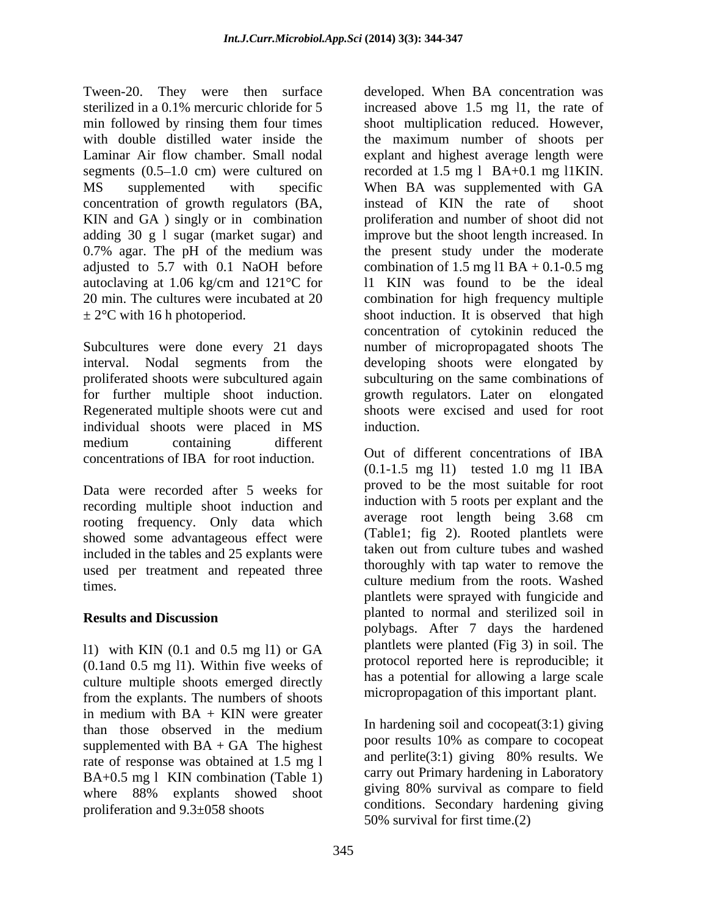Tween-20. They were then surface developed. When BA concentration was sterilized in a 0.1% mercuric chloride for 5 increased above 1.5 mg l1, the rate of min followed by rinsing them four times shoot multiplication reduced. However, with double distilled water inside the the maximum number of shoots per Laminar Air flow chamber. Small nodal explant and highest average length were segments  $(0.5-1.0 \text{ cm})$  were cultured on MS supplemented with specific When BA was supplemented with GA concentration of growth regulators (BA, KIN and GA ) singly or in combination adding 30 g l sugar (market sugar) and improve but the shoot length increased. In 0.7% agar. The pH of the medium was the present study under the moderate adjusted to 5.7 with 0.1 NaOH before combination of 1.5 mg l1 BA + 0.1-0.5 mg autoclaving at 1.06 kg/cm and 121°C for l1 KIN was found to be the ideal 20 min. The cultures were incubated at 20 combination for high frequency multiple

Subcultures were done every 21 days number of micropropagated shoots The interval. Nodal segments from the developing shoots were elongated by proliferated shoots were subcultured again subculturing on the same combinations of for further multiple shoot induction. growth regulators. Later on elongated Regenerated multiple shoots were cut and individual shoots were placed in MS medium containing different and the series of the same of the same of the same of the same of the same of the same of the same of the same of the same of the same of the same of the same of the same of the same of the same concentrations of IBA for root induction. Out of different concentrations of IBA

Data were recorded after 5 weeks for recording multiple shoot induction and<br>recording frequency. Only date which average root length being 3.68 cm rooting frequency. Only data which showed some advantageous effect were<br>included in the tables and 25 cynlog to the verse taken out from culture tubes and washed included in the tables and 25 explants were used per treatment and repeated three times. Washed times.

l1) with KIN (0.1 and 0.5 mg l1) or GA (0.1and 0.5 mg l1). Within five weeks of culture multiple shoots emerged directly from the explants. The numbers of shoots<br>in medium with  $BA + KN$  were greater in medium with BA + KIN were greater than those observed in the medium  $\frac{10}{2}$  in nariaening solution and cocopeal (5.1) giving supplemented with  $BA + GA$  The highest rate of response was obtained at 1.5 mg l BA+0.5 mg l KIN combination (Table 1) where 88% explants showed shoot proliferation and 9.3±058 shoots

 $\pm 2^{\circ}$ C with 16 h photoperiod. Shoot induction. It is observed that high shoot multiplication reduced. However, the maximum number of shoots per recorded at 1.5 mg l BA+0.1 mg l1KIN. instead of KIN the rate of shoot proliferation and number of shoot did not concentration of cytokinin reduced the growth regulators. Later on shoots were excised and used for root induction.

**Results and Discussion Secure 20 plants** to normal and stermized soluling the security of  $\mathbb{R}^n$ Out of different concentrations of IBA (0.1-1.5 mg l1) tested 1.0 mg l1 IBA proved to be the most suitable for root induction with 5 roots per explant and the average root length being 3.68 cm (Table1; fig 2). Rooted plantlets were taken out from culture tubes and washed thoroughly with tap water to remove the culture medium from the roots. Washed plantlets were sprayed with fungicide and planted to normal and sterilized soil in polybags. After 7 days the hardened plantlets were planted (Fig 3) in soil. The protocol reported here is reproducible; it has a potential for allowing a large scale micropropagation of this important plant.

> In hardening soil and  $cocopeat(3:1)$  giving poor results 10% as compare to cocopeat and perlite(3:1) giving 80% results. We carry out Primary hardening in Laboratory giving 80% survival as compare to field conditions. Secondary hardening giving 50% survival for first time.(2)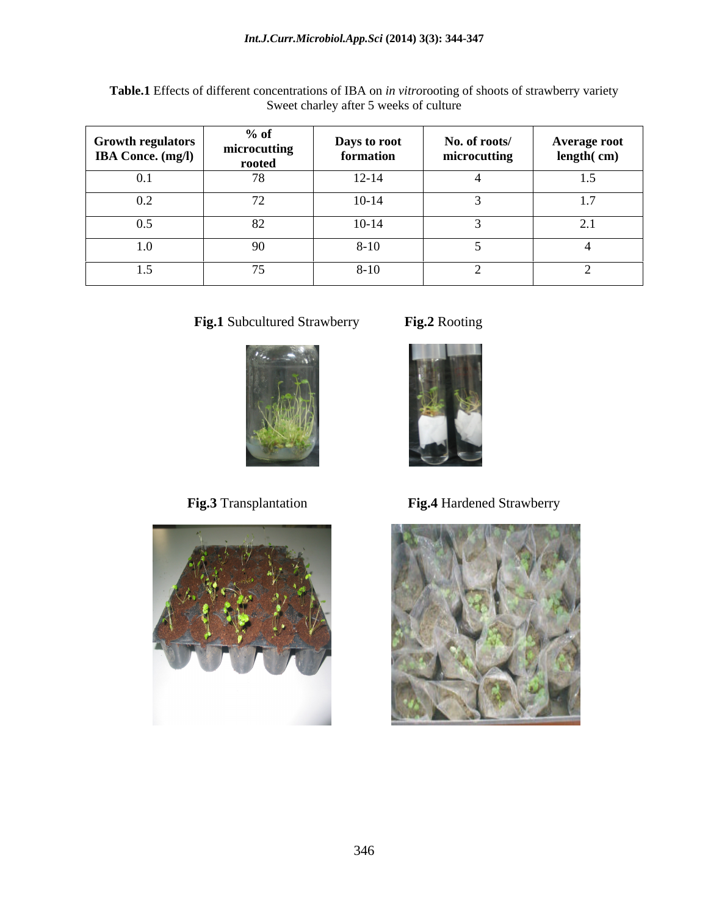| <b>Growth regulators</b><br><b>IBA Conce.</b> (mg/l) | $%$ of<br>microcutting<br>rooted | Days to root<br>formation | No. of roots/<br>microcutting | <b>Average root</b><br>length(cm) |
|------------------------------------------------------|----------------------------------|---------------------------|-------------------------------|-----------------------------------|
| 0.1                                                  | 78                               | $12 - 14$                 |                               | 1.5                               |
| 0.2                                                  | $\sqrt{2}$                       | $10-14$                   |                               | 1.7                               |
| 0.5                                                  |                                  | $10 - 14$                 |                               | 2.1                               |
| 1.0                                                  | <b>20</b>                        | $8 - 10$                  |                               |                                   |
| 1.5                                                  |                                  | $8 - 10$                  |                               |                                   |

**Table.1** Effects of different concentrations of IBA on *in vitro*rooting of shoots of strawberry variety Sweet charley after 5 weeks of culture

**Fig.1** Subcultured Strawberry **Fig.2** Rooting







**Fig.3** Transplantation **Fig.4** Hardened Strawberry